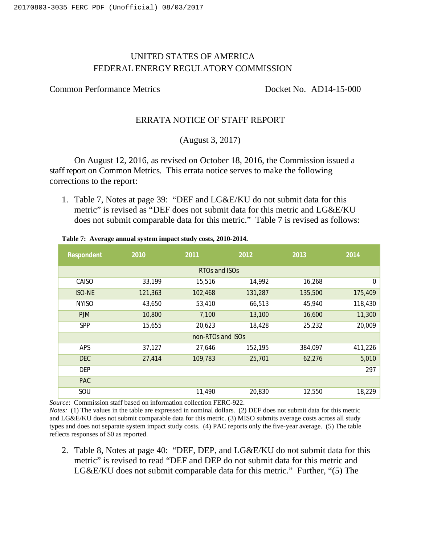# UNITED STATES OF AMERICA FEDERAL ENERGY REGULATORY COMMISSION

Common Performance Metrics Docket No. AD14-15-000

#### ERRATA NOTICE OF STAFF REPORT

### (August 3, 2017)

On August 12, 2016, as revised on October 18, 2016, the Commission issued a staff report on Common Metrics. This errata notice serves to make the following corrections to the report:

1. Table 7, Notes at page 39: "DEF and LG&E/KU do not submit data for this metric" is revised as "DEF does not submit data for this metric and LG&E/KU does not submit comparable data for this metric." Table 7 is revised as follows:

| Respondent    | 2010    | 2011              | 2012    | 2013    | 2014        |
|---------------|---------|-------------------|---------|---------|-------------|
|               |         | RTOs and ISOs     |         |         |             |
| CAISO         | 33,199  | 15,516            | 14,992  | 16,268  | $\mathbf 0$ |
| <b>ISO-NE</b> | 121,363 | 102,468           | 131,287 | 135,500 | 175,409     |
| <b>NYISO</b>  | 43,650  | 53,410            | 66,513  | 45,940  | 118,430     |
| <b>PJM</b>    | 10,800  | 7,100             | 13,100  | 16,600  | 11,300      |
| SPP           | 15,655  | 20,623            | 18,428  | 25,232  | 20,009      |
|               |         | non-RTOs and ISOs |         |         |             |
| <b>APS</b>    | 37,127  | 27,646            | 152,195 | 384,097 | 411,226     |
| <b>DEC</b>    | 27,414  | 109,783           | 25,701  | 62,276  | 5,010       |
| DEP           |         |                   |         |         | 297         |
| <b>PAC</b>    |         |                   |         |         |             |
| SOU           |         | 11,490            | 20,830  | 12,550  | 18,229      |

**Table 7: Average annual system impact study costs, 2010-2014.**

*Source*: Commission staff based on information collection FERC-922.

*Notes:* (1) The values in the table are expressed in nominal dollars. (2) DEF does not submit data for this metric and LG&E/KU does not submit comparable data for this metric. (3) MISO submits average costs across all study types and does not separate system impact study costs. (4) PAC reports only the five-year average. (5) The table reflects responses of \$0 as reported.

2. Table 8, Notes at page 40: "DEF, DEP, and LG&E/KU do not submit data for this metric" is revised to read "DEF and DEP do not submit data for this metric and LG&E/KU does not submit comparable data for this metric." Further, "(5) The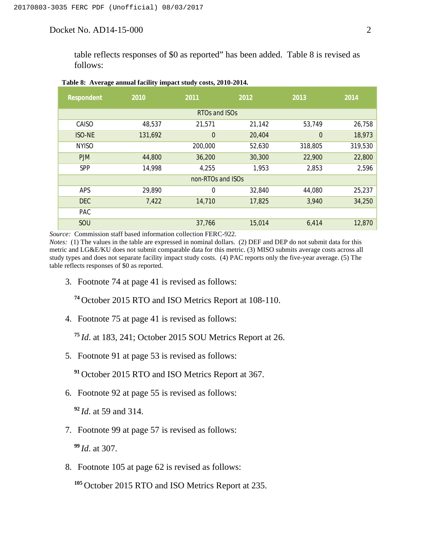Docket No. AD14-15-000 2

table reflects responses of \$0 as reported" has been added. Table 8 is revised as follows:

| Respondent    | 2010    | 2011              | 2012   | 2013           | 2014    |
|---------------|---------|-------------------|--------|----------------|---------|
|               |         | RTOs and ISOs     |        |                |         |
| CAISO         | 48,537  | 21,571            | 21,142 | 53,749         | 26,758  |
| <b>ISO-NE</b> | 131,692 | $\overline{0}$    | 20,404 | $\overline{0}$ | 18,973  |
| <b>NYISO</b>  |         | 200,000           | 52,630 | 318,805        | 319,530 |
| <b>PJM</b>    | 44,800  | 36,200            | 30,300 | 22,900         | 22,800  |
| <b>SPP</b>    | 14,998  | 4,255             | 1,953  | 2,853          | 2,596   |
|               |         | non-RTOs and ISOs |        |                |         |
| <b>APS</b>    | 29,890  | $\mathbf 0$       | 32,840 | 44,080         | 25,237  |
| <b>DEC</b>    | 7,422   | 14,710            | 17,825 | 3,940          | 34,250  |
| <b>PAC</b>    |         |                   |        |                |         |
| SOU           |         | 37,766            | 15,014 | 6,414          | 12,870  |

#### **Table 8: Average annual facility impact study costs, 2010-2014.**

*Source:* Commission staff based information collection FERC-922.

*Notes:* (1) The values in the table are expressed in nominal dollars. (2) DEF and DEP do not submit data for this metric and LG&E/KU does not submit comparable data for this metric. (3) MISO submits average costs across all study types and does not separate facility impact study costs. (4) PAC reports only the five-year average. (5) The table reflects responses of \$0 as reported.

3. Footnote 74 at page 41 is revised as follows:

**<sup>74</sup>** October 2015 RTO and ISO Metrics Report at 108-110.

4. Footnote 75 at page 41 is revised as follows:

**<sup>75</sup>** *Id*. at 183, 241; October 2015 SOU Metrics Report at 26.

5. Footnote 91 at page 53 is revised as follows:

**<sup>91</sup>** October 2015 RTO and ISO Metrics Report at 367.

6. Footnote 92 at page 55 is revised as follows:

**<sup>92</sup>***Id*. at 59 and 314.

7. Footnote 99 at page 57 is revised as follows:

**<sup>99</sup>***Id*. at 307.

8. Footnote 105 at page 62 is revised as follows:

<sup>105</sup> October 2015 RTO and ISO Metrics Report at 235.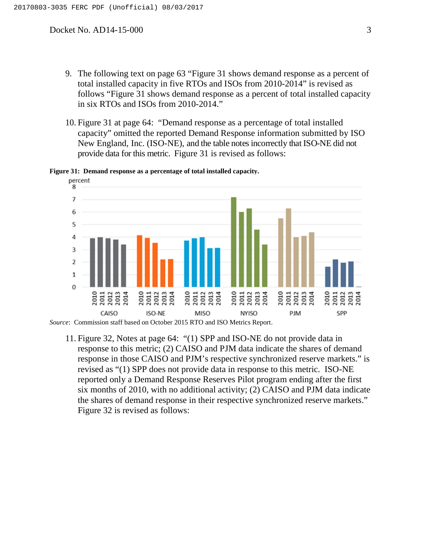- 9. The following text on page 63 "Figure 31 shows demand response as a percent of total installed capacity in five RTOs and ISOs from 2010-2014" is revised as follows "Figure 31 shows demand response as a percent of total installed capacity in six RTOs and ISOs from 2010-2014."
- 10. Figure 31 at page 64: "Demand response as a percentage of total installed capacity" omitted the reported Demand Response information submitted by ISO New England, Inc. (ISO-NE), and the table notes incorrectly that ISO-NE did not provide data for this metric. Figure 31 is revised as follows:

percent 8  $\overline{7}$ 6 5 4  $\overline{3}$  $\overline{2}$  $\mathbf{1}$  $\Omega$ 2011<br>2012<br>2013<br>2014 2011<br>2012<br>2013<br>2014 2011<br>2012<br>2013<br>2014 2010<br>2011 2011<br>2012<br>2013<br>2014 2011<br>2012<br>2013<br>2014 2013<br>2014 **MISO** CAISO **ISO-NE** PJM SPP **NYISO** 

**Figure 31: Demand response as a percentage of total installed capacity.**

11. Figure 32, Notes at page 64: "(1) SPP and ISO-NE do not provide data in response to this metric; (2) CAISO and PJM data indicate the shares of demand response in those CAISO and PJM's respective synchronized reserve markets." is revised as "(1) SPP does not provide data in response to this metric. ISO-NE reported only a Demand Response Reserves Pilot program ending after the first six months of 2010, with no additional activity; (2) CAISO and PJM data indicate the shares of demand response in their respective synchronized reserve markets." Figure 32 is revised as follows:

*Source*: Commission staff based on October 2015 RTO and ISO Metrics Report.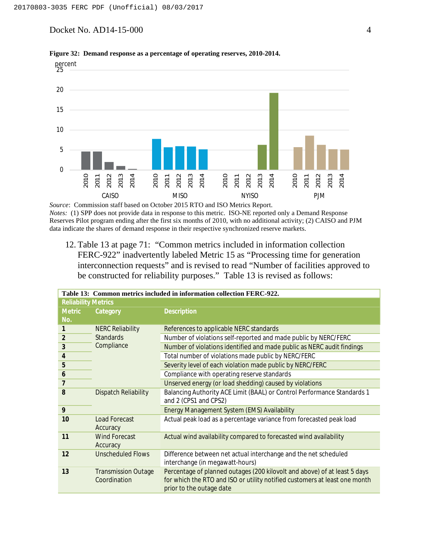Docket No. AD14-15-000 4



**Figure 32: Demand response as a percentage of operating reserves, 2010-2014.**

*Source*: Commission staff based on October 2015 RTO and ISO Metrics Report. *Notes:* (1) SPP does not provide data in response to this metric. ISO-NE reported only a Demand Response Reserves Pilot program ending after the first six months of 2010, with no additional activity; (2) CAISO and PJM data indicate the shares of demand response in their respective synchronized reserve markets.

12. Table 13 at page 71: "Common metrics included in information collection FERC-922" inadvertently labeled Metric 15 as "Processing time for generation interconnection requests" and is revised to read "Number of facilities approved to be constructed for reliability purposes." Table 13 is revised as follows:

|                            |                                            | Table 13: Common metrics included in information collection FERC-922.                                                                                                               |
|----------------------------|--------------------------------------------|-------------------------------------------------------------------------------------------------------------------------------------------------------------------------------------|
| <b>Reliability Metrics</b> |                                            |                                                                                                                                                                                     |
| <b>Metric</b>              | Category                                   | Description                                                                                                                                                                         |
| No.                        |                                            |                                                                                                                                                                                     |
| 1                          | <b>NERC Reliability</b>                    | References to applicable NERC standards                                                                                                                                             |
| 2                          | <b>Standards</b>                           | Number of violations self-reported and made public by NERC/FERC                                                                                                                     |
| 3                          | Compliance                                 | Number of violations identified and made public as NERC audit findings                                                                                                              |
| $\overline{4}$             |                                            | Total number of violations made public by NERC/FERC                                                                                                                                 |
| 5                          |                                            | Severity level of each violation made public by NERC/FERC                                                                                                                           |
| 6                          |                                            | Compliance with operating reserve standards                                                                                                                                         |
| $\overline{7}$             |                                            | Unserved energy (or load shedding) caused by violations                                                                                                                             |
| 8                          | <b>Dispatch Reliability</b>                | Balancing Authority ACE Limit (BAAL) or Control Performance Standards 1<br>and 2 (CPS1 and CPS2)                                                                                    |
| 9                          |                                            | Energy Management System (EMS) Availability                                                                                                                                         |
| 10                         | Load Forecast<br>Accuracy                  | Actual peak load as a percentage variance from forecasted peak load                                                                                                                 |
| 11                         | <b>Wind Forecast</b><br>Accuracy           | Actual wind availability compared to forecasted wind availability                                                                                                                   |
| 12                         | <b>Unscheduled Flows</b>                   | Difference between net actual interchange and the net scheduled<br>interchange (in megawatt-hours)                                                                                  |
| 13                         | <b>Transmission Outage</b><br>Coordination | Percentage of planned outages (200 kilovolt and above) of at least 5 days<br>for which the RTO and ISO or utility notified customers at least one month<br>prior to the outage date |

**Table 13: Common metrics included in information collection FERC-922.**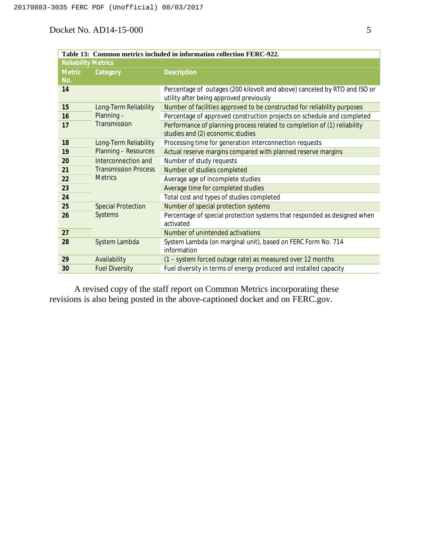## Docket No. AD14-15-000 5

|                            |                             | Table 13: Common metrics included in information collection FERC-922.                                                |
|----------------------------|-----------------------------|----------------------------------------------------------------------------------------------------------------------|
| <b>Reliability Metrics</b> |                             |                                                                                                                      |
| <b>Metric</b>              | Category                    | Description                                                                                                          |
| No.                        |                             |                                                                                                                      |
| 14                         |                             | Percentage of outages (200 kilovolt and above) canceled by RTO and ISO or<br>utility after being approved previously |
| 15                         | Long-Term Reliability       | Number of facilities approved to be constructed for reliability purposes                                             |
| 16                         | Planning-                   | Percentage of approved construction projects on schedule and completed                                               |
| 17                         | Transmission                | Performance of planning process related to completion of (1) reliability<br>studies and (2) economic studies         |
| 18                         | Long-Term Reliability       | Processing time for generation interconnection requests                                                              |
| 19                         | Planning - Resources        | Actual reserve margins compared with planned reserve margins                                                         |
| 20                         | Interconnection and         | Number of study requests                                                                                             |
| 21                         | <b>Transmission Process</b> | Number of studies completed                                                                                          |
| 22                         | <b>Metrics</b>              | Average age of incomplete studies                                                                                    |
| 23                         |                             | Average time for completed studies                                                                                   |
| 24                         |                             | Total cost and types of studies completed                                                                            |
| 25                         | <b>Special Protection</b>   | Number of special protection systems                                                                                 |
| 26                         | Systems                     | Percentage of special protection systems that responded as designed when<br>activated                                |
| 27                         |                             | Number of unintended activations                                                                                     |
| 28                         | System Lambda               | System Lambda (on marginal unit), based on FERC Form No. 714<br>information                                          |
| 29                         | Availability                | (1 - system forced outage rate) as measured over 12 months                                                           |
| 30                         | <b>Fuel Diversity</b>       | Fuel diversity in terms of energy produced and installed capacity                                                    |

A revised copy of the staff report on Common Metrics incorporating these revisions is also being posted in the above-captioned docket and on FERC.gov.